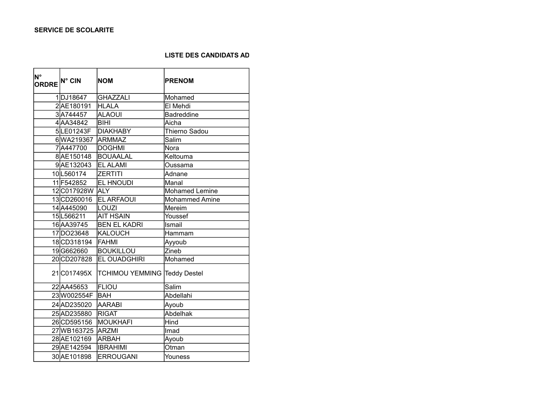## **LISTE DES CANDIDATS AD**

| <b>N°</b><br>ORDRE <sup>N° CIN</sup> |                  | <b>NOM</b>                          | <b>PRENOM</b>         |
|--------------------------------------|------------------|-------------------------------------|-----------------------|
|                                      | 1DJ18647         | <b>GHAZZALI</b>                     | Mohamed               |
|                                      | 2AE180191        | <b>HLALA</b>                        | El Mehdi              |
|                                      | 3A744457         | <b>ALAOUI</b>                       | Badreddine            |
|                                      | 4AA34842         | <b>BIHI</b>                         | Aicha                 |
|                                      | 5LE01243F        | <b>DIAKHABY</b>                     | Thierno Sadou         |
|                                      | 6WA219367        | <b>ARMMAZ</b>                       | Salim                 |
|                                      | 7A447700         | <b>DOGHMI</b>                       | Nora                  |
|                                      | 8AE150148        | <b>BOUAALAL</b>                     | Keltouma              |
|                                      | 9AE132043        | <b>EL ALAMI</b>                     | Oussama               |
|                                      | 10L560174        | <b>ZERTITI</b>                      | Adnane                |
|                                      | 11F542852        | <b>EL HNOUDI</b>                    | Manal                 |
|                                      | 12 C017928W ALY  |                                     | <b>Mohamed Lemine</b> |
|                                      | 13CD260016       | <b>EL ARFAOUI</b>                   | Mohammed Amine        |
|                                      | 14 A445090       | LOUZI                               | Mereim                |
|                                      | 15L566211        | <b>AIT HSAIN</b>                    | Youssef               |
|                                      | 16AA39745        | <b>BEN EL KADRI</b>                 | Ismail                |
|                                      | 17DO23648        | <b>KALOUCH</b>                      | Hammam                |
|                                      | 18 CD318194      | <b>FAHMI</b>                        | Ayyoub                |
|                                      | 19G662660        | <b>BOUKILLOU</b>                    | Zineb                 |
|                                      | 20CD207828       | <b>EL OUADGHIRI</b>                 | Mohamed               |
|                                      | 21 C017495X      | <b>TCHIMOU YEMMING Teddy Destel</b> |                       |
|                                      | 22 AA45653       | <b>FLIOU</b>                        | Salim                 |
|                                      | 23W002554F       | <b>BAH</b>                          | Abdellahi             |
|                                      | 24AD235020       | <b>AARABI</b>                       | Ayoub                 |
|                                      | 25AD235880       | <b>RIGAT</b>                        | Abdelhak              |
|                                      | 26 CD595156      | MOUKHAFI                            | Hind                  |
|                                      | 27WB163725 ARZMI |                                     | Imad                  |
|                                      | 28 AE102169      | <b>ARBAH</b>                        | Ayoub                 |
|                                      | 29 AE142594      | <b>IBRAHIMI</b>                     | Otman                 |
|                                      | 30 AE101898      | <b>ERROUGANI</b>                    | Youness               |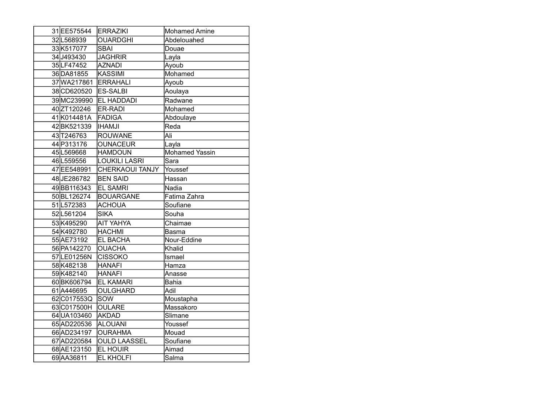| 31 EE575544 | <b>ERRAZIKI</b>        | <b>Mohamed Amine</b>  |
|-------------|------------------------|-----------------------|
| 32 L568939  | <b>OUARDGHI</b>        | Abdelouahed           |
| 33K517077   | <b>SBAI</b>            | Douae                 |
| 34J493430   | <b>JAGHRIR</b>         | Layla                 |
| 35LF47452   | <b>AZNADI</b>          | Ayoub                 |
| 36DA81855   | <b>KASSIMI</b>         | Mohamed               |
| 37WA217861  | <b>ERRAHALI</b>        | Ayoub                 |
| 38 CD620520 | <b>ES-SALBI</b>        | Aoulaya               |
| 39MC239990  | <b>EL HADDADI</b>      | Radwane               |
| 40ZT120246  | ER-RADI                | Mohamed               |
| 41K014481A  | <b>FADIGA</b>          | Abdoulaye             |
| 42BK521339  | <b>IHAMJI</b>          | Reda                  |
| 43 T246763  | <b>ROUWANE</b>         | Ali                   |
| 44 P313176  | <b>OUNACEUR</b>        | Layla                 |
| 45 L569668  | <b>HAMDOUN</b>         | <b>Mohamed Yassin</b> |
| 46L559556   | <b>LOUKILI LASRI</b>   | Sara                  |
| 47 EE548991 | <b>CHERKAOUI TANJY</b> | Youssef               |
| 48JE286782  | <b>BEN SAID</b>        | Hassan                |
| 49BB116343  | <b>EL SAMRI</b>        | Nadia                 |
| 50BL126274  | <b>BOUARGANE</b>       | Fatima Zahra          |
| 51L572383   | <b>ACHOUA</b>          | Soufiane              |
| 52L561204   | <b>SIKA</b>            | Souha                 |
| 53K495290   | <b>AIT YAHYA</b>       | Chaimae               |
| 54K492780   | <b>HACHMI</b>          | Basma                 |
| 55 AE73192  | <b>EL BACHA</b>        | Nour-Eddine           |
| 56 PA142270 | <b>OUACHA</b>          | Khalid                |
| 57LE01256N  | <b>CISSOKO</b>         | Ismael                |
| 58 K482138  | <b>HANAFI</b>          | Hamza                 |
| 59K482140   | <b>HANAFI</b>          | Anasse                |
| 60BK606794  | <b>EL KAMARI</b>       | <b>Bahia</b>          |
| 61A446695   | <b>OULGHARD</b>        | Adil                  |
| 62C017553Q  | SOW                    | Moustapha             |
| 63C017500H  | <b>OULARE</b>          | Massakoro             |
| 64 UA103460 | <b>AKDAD</b>           | Slimane               |
| 65AD220536  | <b>ALOUANI</b>         | Youssef               |
| 66AD234197  | <b>OURAHMA</b>         | Mouad                 |
| 67AD220584  | <b>OULD LAASSEL</b>    | Soufiane              |
| 68AE123150  | <b>EL HOUIR</b>        | Aimad                 |
| 69AA36811   | <b>EL KHOLFI</b>       | Salma                 |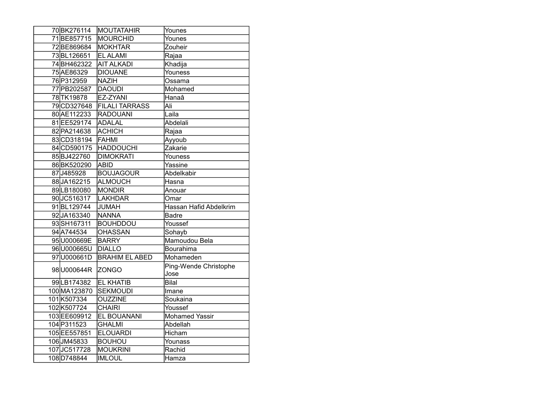| 70BK276114   | <b>MOUTATAHIR</b>     | Younes                        |
|--------------|-----------------------|-------------------------------|
| 71BE857715   | MOURCHID              | Younes                        |
| 72BE869684   | MOKHTAR               | Zouheir                       |
| 73BL126651   | <b>EL ALAMI</b>       | Rajaa                         |
| 74BH462322   | <b>AIT ALKADI</b>     | Khadija                       |
| 75 AE86329   | <b>DIOUANE</b>        | Youness                       |
| 76 P312959   | <b>NAZIH</b>          | Ossama                        |
| 77 PB 202587 | <b>DAOUDI</b>         | Mohamed                       |
| 78TK19878    | EZ-ZYANI              | Hanaâ                         |
| 79CD327648   | <b>FILALI TARRASS</b> | Ali                           |
| 80 AE112233  | <b>RADOUANI</b>       | Laila                         |
| 81 EE529174  | ADALAL                | Abdelali                      |
| 82 PA214638  | ACHICH                | Rajaa                         |
| 83CD318194   | <b>FAHMI</b>          | Ayyoub                        |
| 84 CD590175  | <b>HADDOUCHI</b>      | Zakarie                       |
| 85BJ422760   | <b>DIMOKRATI</b>      | Youness                       |
| 86BK520290   | ABID                  | Yassine                       |
| 87J485928    | <b>BOUJAGOUR</b>      | Abdelkabir                    |
| 88JA162215   | ALMOUCH               | Hasna                         |
| 89LB180080   | MONDIR                | Anouar                        |
| 90JC516317   | LAKHDAR               | Omar                          |
| 91BL129744   | <b>JUMAH</b>          | Hassan Hafid Abdelkrim        |
| 92JA163340   | <b>NANNA</b>          | <b>Badre</b>                  |
| 93SH167311   | <b>BOUHDDOU</b>       | Youssef                       |
| 94A744534    | <b>OHASSAN</b>        | Sohayb                        |
| 95 U000669E  | <b>BARRY</b>          | Mamoudou Bela                 |
| 96U000665U   | DIALLO                | Bourahima                     |
| 97U000661D   | <b>BRAHIM EL ABED</b> | Mohameden                     |
| 98 U000644R  | <b>ZONGO</b>          | Ping-Wende Christophe<br>Jose |
| 99LB174382   | <b>EL KHATIB</b>      | Bilal                         |
| 100 MA123870 | <b>SEKMOUDI</b>       | Imane                         |
| 101K507334   | <b>OUZZINE</b>        | Soukaina                      |
| 102 K507724  | <b>CHAIRI</b>         | Youssef                       |
| 103EE609912  | <b>EL BOUANANI</b>    | <b>Mohamed Yassir</b>         |
| 104 P311523  | <b>GHALMI</b>         | Abdellah                      |
| 105EE557851  | <b>ELOUARDI</b>       | Hicham                        |
| 106JM45833   | <b>BOUHOU</b>         | Younass                       |
| 107JC517728  | <b>MOUKRINI</b>       | Rachid                        |
| 108D748844   | <b>IMLOUL</b>         | Hamza                         |